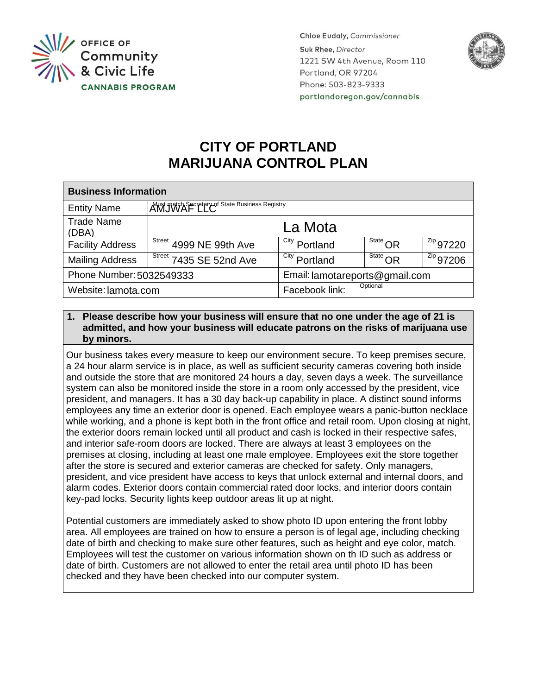

**Chloe Eudaly, Commissioner** Suk Rhee, Director 1221 SW 4th Avenue, Room 110 Portland, OR 97204 Phone: 503-823-9333 portlandoregon.gov/cannabis



# **CITY OF PORTLAND MARIJUANA CONTROL PLAN**

| <b>Business Information</b> |                                                               |                                |                                                         |                        |
|-----------------------------|---------------------------------------------------------------|--------------------------------|---------------------------------------------------------|------------------------|
| <b>Entity Name</b>          | AWS Match Secretary of State Business Registry                |                                |                                                         |                        |
| <b>Trade Name</b><br>(DBA)  |                                                               | La Mota                        |                                                         |                        |
| <b>Facility Address</b>     | $\sqrt{\frac{\text{Street}}{\text{Street}}}$ 4999 NE 99th Ave | City<br>Portland               | $rac{\overline{\text{State}}}{\sqrt{\text{Sitate}}}$ OR | $1^{2ip}$ 97220        |
| <b>Mailing Address</b>      | <sup>Street</sup> 7435 SE 52nd Ave                            | City<br>Portland               | $rac{\text{State}}{\text{State}}$ OR                    | $\frac{z_{ip}}{97206}$ |
| Phone Number: 5032549333    |                                                               | Email: lamotareports@gmail.com |                                                         |                        |
| Website: lamota.com         |                                                               | Optional<br>Facebook link:     |                                                         |                        |

## **1. Please describe how your business will ensure that no one under the age of 21 is admitted, and how your business will educate patrons on the risks of marijuana use by minors.**

Our business takes every measure to keep our environment secure. To keep premises secure, a 24 hour alarm service is in place, as well as sufficient security cameras covering both inside and outside the store that are monitored 24 hours a day, seven days a week. The surveillance system can also be monitored inside the store in a room only accessed by the president, vice president, and managers. It has a 30 day back-up capability in place. A distinct sound informs employees any time an exterior door is opened. Each employee wears a panic-button necklace while working, and a phone is kept both in the front office and retail room. Upon closing at night, the exterior doors remain locked until all product and cash is locked in their respective safes, and interior safe-room doors are locked. There are always at least 3 employees on the premises at closing, including at least one male employee. Employees exit the store together after the store is secured and exterior cameras are checked for safety. Only managers, president, and vice president have access to keys that unlock external and internal doors, and alarm codes. Exterior doors contain commercial rated door locks, and interior doors contain key-pad locks. Security lights keep outdoor areas lit up at night.

Potential customers are immediately asked to show photo ID upon entering the front lobby area. All employees are trained on how to ensure a person is of legal age, including checking date of birth and checking to make sure other features, such as height and eye color, match. Employees will test the customer on various information shown on th ID such as address or date of birth. Customers are not allowed to enter the retail area until photo ID has been checked and they have been checked into our computer system.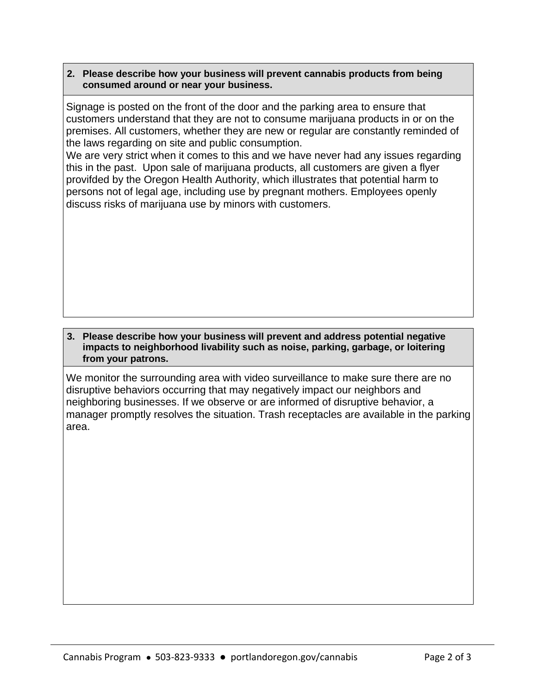### **2. Please describe how your business will prevent cannabis products from being consumed around or near your business.**

Signage is posted on the front of the door and the parking area to ensure that customers understand that they are not to consume marijuana products in or on the premises. All customers, whether they are new or regular are constantly reminded of the laws regarding on site and public consumption.

We are very strict when it comes to this and we have never had any issues regarding this in the past. Upon sale of marijuana products, all customers are given a flyer provifded by the Oregon Health Authority, which illustrates that potential harm to persons not of legal age, including use by pregnant mothers. Employees openly discuss risks of marijuana use by minors with customers.

#### **3. Please describe how your business will prevent and address potential negative impacts to neighborhood livability such as noise, parking, garbage, or loitering from your patrons.**

We monitor the surrounding area with video surveillance to make sure there are no disruptive behaviors occurring that may negatively impact our neighbors and neighboring businesses. If we observe or are informed of disruptive behavior, a manager promptly resolves the situation. Trash receptacles are available in the parking area.